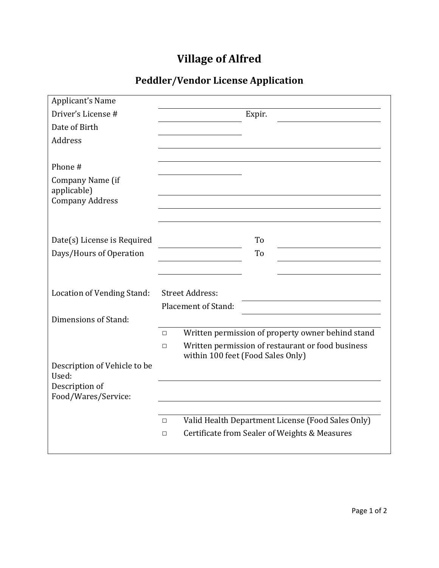## **Village of Alfred**

## **Peddler/Vendor License Application**

| Applicant's Name                  |                                                             |
|-----------------------------------|-------------------------------------------------------------|
| Driver's License #                | Expir.                                                      |
| Date of Birth                     |                                                             |
| Address                           |                                                             |
|                                   |                                                             |
| Phone #                           |                                                             |
| Company Name (if<br>applicable)   |                                                             |
| <b>Company Address</b>            |                                                             |
|                                   |                                                             |
|                                   |                                                             |
| Date(s) License is Required       | To                                                          |
| Days/Hours of Operation           | To                                                          |
|                                   |                                                             |
|                                   |                                                             |
| <b>Location of Vending Stand:</b> | <b>Street Address:</b>                                      |
|                                   | Placement of Stand:                                         |
| Dimensions of Stand:              |                                                             |
|                                   | Written permission of property owner behind stand<br>$\Box$ |
|                                   | Written permission of restaurant or food business<br>$\Box$ |
| Description of Vehicle to be      | within 100 feet (Food Sales Only)                           |
| Used:                             |                                                             |
| Description of                    |                                                             |
| Food/Wares/Service:               |                                                             |
|                                   |                                                             |
|                                   | Valid Health Department License (Food Sales Only)<br>$\Box$ |
|                                   | Certificate from Sealer of Weights & Measures<br>$\Box$     |
|                                   |                                                             |